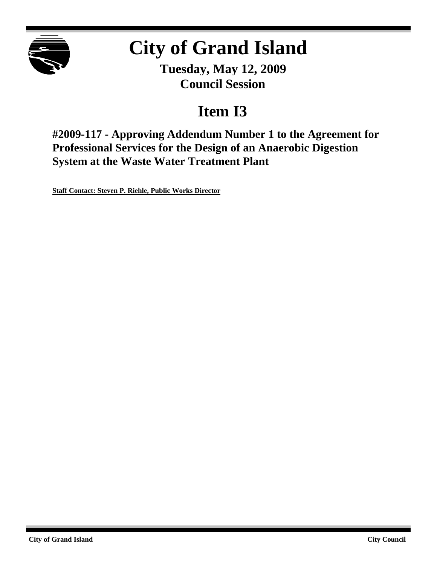

# **City of Grand Island**

**Tuesday, May 12, 2009 Council Session**

## **Item I3**

**#2009-117 - Approving Addendum Number 1 to the Agreement for Professional Services for the Design of an Anaerobic Digestion System at the Waste Water Treatment Plant**

**Staff Contact: Steven P. Riehle, Public Works Director**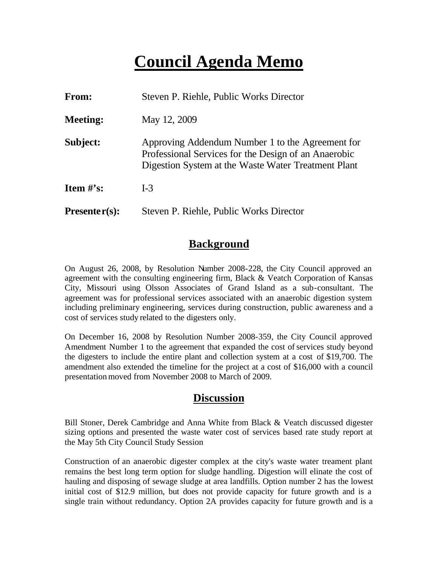## **Council Agenda Memo**

| From:           | Steven P. Riehle, Public Works Director                                                                                                                         |  |
|-----------------|-----------------------------------------------------------------------------------------------------------------------------------------------------------------|--|
| <b>Meeting:</b> | May 12, 2009                                                                                                                                                    |  |
| Subject:        | Approving Addendum Number 1 to the Agreement for<br>Professional Services for the Design of an Anaerobic<br>Digestion System at the Waste Water Treatment Plant |  |
| Item $#$ 's:    | $I-3$                                                                                                                                                           |  |
| $Presenter(s):$ | Steven P. Riehle, Public Works Director                                                                                                                         |  |

## **Background**

On August 26, 2008, by Resolution Number 2008-228, the City Council approved an agreement with the consulting engineering firm, Black & Veatch Corporation of Kansas City, Missouri using Olsson Associates of Grand Island as a sub-consultant. The agreement was for professional services associated with an anaerobic digestion system including preliminary engineering, services during construction, public awareness and a cost of services study related to the digesters only.

On December 16, 2008 by Resolution Number 2008-359, the City Council approved Amendment Number 1 to the agreement that expanded the cost of services study beyond the digesters to include the entire plant and collection system at a cost of \$19,700. The amendment also extended the timeline for the project at a cost of \$16,000 with a council presentation moved from November 2008 to March of 2009.

### **Discussion**

Bill Stoner, Derek Cambridge and Anna White from Black & Veatch discussed digester sizing options and presented the waste water cost of services based rate study report at the May 5th City Council Study Session

Construction of an anaerobic digester complex at the city's waste water treament plant remains the best long term option for sludge handling. Digestion will elinate the cost of hauling and disposing of sewage sludge at area landfills. Option number 2 has the lowest initial cost of \$12.9 million, but does not provide capacity for future growth and is a single train without redundancy. Option 2A provides capacity for future growth and is a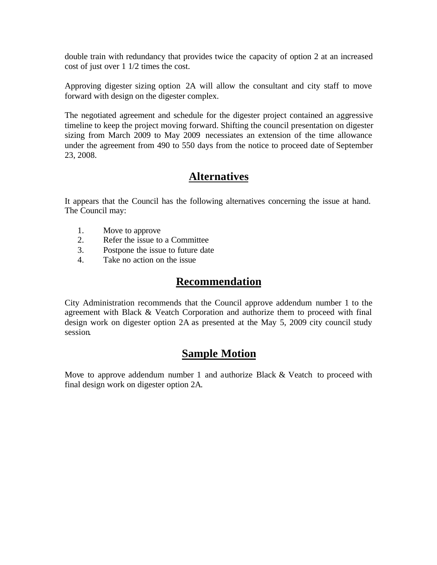double train with redundancy that provides twice the capacity of option 2 at an increased cost of just over 1 1/2 times the cost.

Approving digester sizing option 2A will allow the consultant and city staff to move forward with design on the digester complex.

The negotiated agreement and schedule for the digester project contained an aggressive timeline to keep the project moving forward. Shifting the council presentation on digester sizing from March 2009 to May 2009 necessiates an extension of the time allowance under the agreement from 490 to 550 days from the notice to proceed date of September 23, 2008.

## **Alternatives**

It appears that the Council has the following alternatives concerning the issue at hand. The Council may:

- 1. Move to approve
- 2. Refer the issue to a Committee
- 3. Postpone the issue to future date
- 4. Take no action on the issue

### **Recommendation**

City Administration recommends that the Council approve addendum number 1 to the agreement with Black & Veatch Corporation and authorize them to proceed with final design work on digester option 2A as presented at the May 5, 2009 city council study session.

### **Sample Motion**

Move to approve addendum number 1 and authorize Black & Veatch to proceed with final design work on digester option 2A.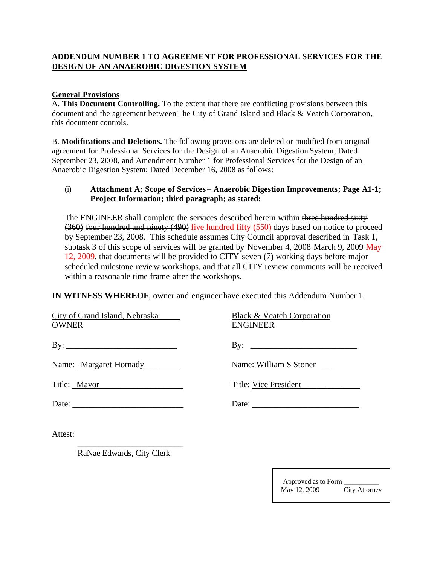#### **ADDENDUM NUMBER 1 TO AGREEMENT FOR PROFESSIONAL SERVICES FOR THE DESIGN OF AN ANAEROBIC DIGESTION SYSTEM**

#### **General Provisions**

A. **This Document Controlling.** To the extent that there are conflicting provisions between this document and the agreement between The City of Grand Island and Black & Veatch Corporation, this document controls.

B. **Modifications and Deletions.** The following provisions are deleted or modified from original agreement for Professional Services for the Design of an Anaerobic Digestion System; Dated September 23, 2008, and Amendment Number 1 for Professional Services for the Design of an Anaerobic Digestion System; Dated December 16, 2008 as follows:

#### (i) **Attachment A; Scope of Services – Anaerobic Digestion Improvements; Page A1-1; Project Information; third paragraph; as stated:**

The ENGINEER shall complete the services described herein within three hundred sixty (360) four hundred and ninety (490) five hundred fifty (550) days based on notice to proceed by September 23, 2008. This schedule assumes City Council approval described in Task 1, subtask 3 of this scope of services will be granted by November 4, 2008 March 9, 2009 May 12, 2009, that documents will be provided to CITY seven (7) working days before major scheduled milestone review workshops, and that all CITY review comments will be received within a reasonable time frame after the workshops.

**IN WITNESS WHEREOF**, owner and engineer have executed this Addendum Number 1.

| City of Grand Island, Nebraska<br><b>OWNER</b> | Black & Veatch Corporation<br><b>ENGINEER</b> |
|------------------------------------------------|-----------------------------------------------|
|                                                | By: $\qquad \qquad$                           |
| Name: _Margaret Hornady____                    | Name: William S Stoner                        |
| Title: <u>Mayor</u>                            | Title: Vice President ______                  |
|                                                | Date:                                         |
| Attest:                                        |                                               |

\_\_\_\_\_\_\_\_\_\_\_\_\_\_\_\_\_\_\_\_\_\_\_\_\_ RaNae Edwards, City Clerk

> Approved as to Form \_\_\_\_\_\_\_\_\_\_ May 12, 2009 City Attorney